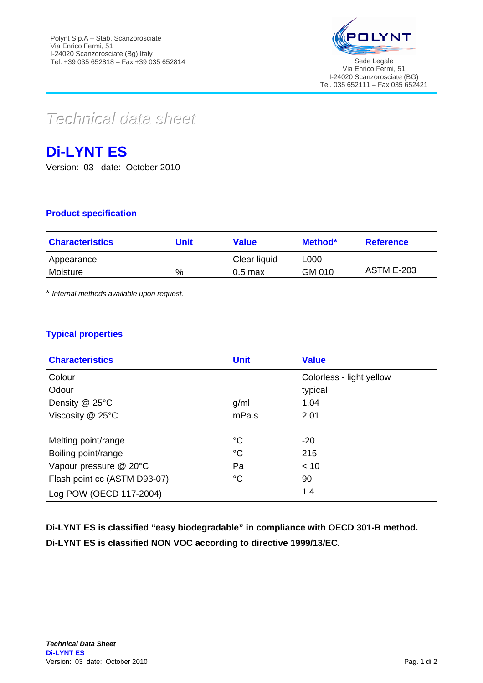

 $Teclnica$ *data* sheet

# **Di-LYNT ES**

Version: 03 date: October 2010

## **Product specification**

| <b>Characteristics</b> | Unit | <b>Value</b> | Method* | <b>Reference</b>  |
|------------------------|------|--------------|---------|-------------------|
| Appearance             |      | Clear liquid | L000    |                   |
| Moisture               | %    | $0.5$ max    | GM 010  | <b>ASTM E-203</b> |

\* *Internal methods available upon request.*

## **Typical properties**

| <b>Characteristics</b>       | <b>Unit</b> | <b>Value</b>             |
|------------------------------|-------------|--------------------------|
| Colour                       |             | Colorless - light yellow |
| Odour                        |             | typical                  |
| Density @ 25°C               | q/ml        | 1.04                     |
| Viscosity $@$ 25 $°C$        | mPa.s       | 2.01                     |
|                              |             |                          |
| Melting point/range          | $^{\circ}C$ | $-20$                    |
| Boiling point/range          | $^{\circ}C$ | 215                      |
| Vapour pressure @ 20°C       | Pa          | < 10                     |
| Flash point cc (ASTM D93-07) | $^{\circ}C$ | 90                       |
| Log POW (OECD 117-2004)      |             | 1.4                      |

**Di-LYNT ES is classified "easy biodegradable" in compliance with OECD 301-B method. Di-LYNT ES is classified NON VOC according to directive 1999/13/EC.**